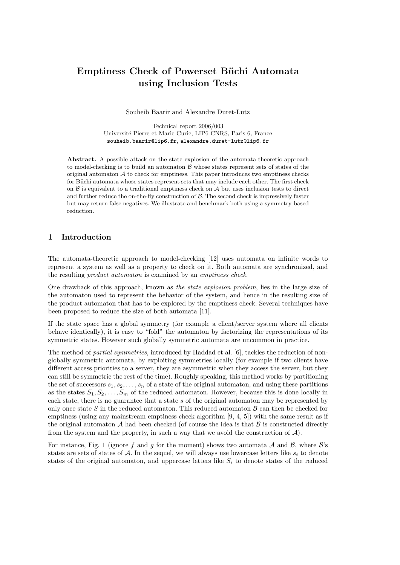# Emptiness Check of Powerset Büchi Automata using Inclusion Tests

Souheib Baarir and Alexandre Duret-Lutz

Technical report 2006/003 Universit´e Pierre et Marie Curie, LIP6-CNRS, Paris 6, France souheib.baarir@lip6.fr, alexandre.duret-lutz@lip6.fr

Abstract. A possible attack on the state explosion of the automata-theoretic approach to model-checking is to build an automaton  $\beta$  whose states represent sets of states of the original automaton  $A$  to check for emptiness. This paper introduces two emptiness checks for Büchi automata whose states represent sets that may include each other. The first check on  $\beta$  is equivalent to a traditional emptiness check on  $\mathcal A$  but uses inclusion tests to direct and further reduce the on-the-fly construction of  $\beta$ . The second check is impressively faster but may return false negatives. We illustrate and benchmark both using a symmetry-based reduction.

## 1 Introduction

The automata-theoretic approach to model-checking [12] uses automata on infinite words to represent a system as well as a property to check on it. Both automata are synchronized, and the resulting product automaton is examined by an emptiness check.

One drawback of this approach, known as the state explosion problem, lies in the large size of the automaton used to represent the behavior of the system, and hence in the resulting size of the product automaton that has to be explored by the emptiness check. Several techniques have been proposed to reduce the size of both automata [11].

If the state space has a global symmetry (for example a client/server system where all clients behave identically), it is easy to "fold" the automaton by factorizing the representations of its symmetric states. However such globally symmetric automata are uncommon in practice.

The method of *partial symmetries*, introduced by Haddad et al. [6], tackles the reduction of nonglobally symmetric automata, by exploiting symmetries locally (for example if two clients have different access priorities to a server, they are asymmetric when they access the server, but they can still be symmetric the rest of the time). Roughly speaking, this method works by partitioning the set of successors  $s_1, s_2, \ldots, s_n$  of a state of the original automaton, and using these partitions as the states  $S_1, S_2, \ldots, S_m$  of the reduced automaton. However, because this is done locally in each state, there is no guarantee that a state  $s$  of the original automaton may be represented by only once state S in the reduced automaton. This reduced automaton  $\beta$  can then be checked for emptiness (using any mainstream emptiness check algorithm [9, 4, 5]) with the same result as if the original automaton  $A$  had been checked (of course the idea is that  $B$  is constructed directly from the system and the property, in such a way that we avoid the construction of  $\mathcal{A}$ ).

For instance, Fig. 1 (ignore f and g for the moment) shows two automata  $A$  and  $B$ , where  $B$ 's states are sets of states of A. In the sequel, we will always use lowercase letters like  $s_i$  to denote states of the original automaton, and uppercase letters like  $S_i$  to denote states of the reduced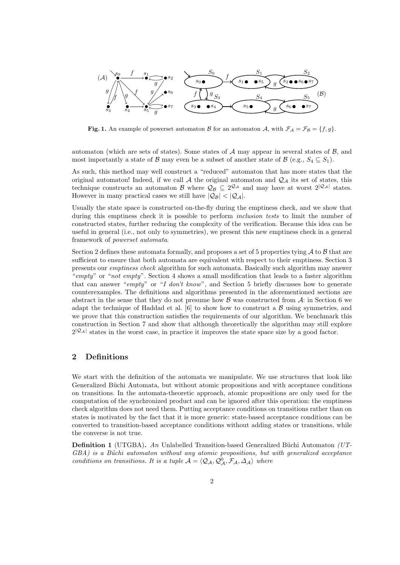

**Fig. 1.** An example of powerset automaton B for an automaton A, with  $\mathcal{F}_A = \mathcal{F}_B = \{f, g\}$ .

automaton (which are sets of states). Some states of  $A$  may appear in several states of  $B$ , and most importantly a state of B may even be a subset of another state of B (e.g.,  $S_4 \subseteq S_1$ ).

As such, this method may well construct a "reduced" automaton that has more states that the original automaton! Indeed, if we call A the original automaton and  $\mathcal{Q}_A$  its set of states, this technique constructs an automaton B where  $\mathcal{Q}_B \subseteq 2^{\mathcal{Q}_A}$  and may have at worst  $2^{|\mathcal{Q}_A|}$  states. However in many practical cases we still have  $|Q_B| < |Q_A|$ .

Usually the state space is constructed on-the-fly during the emptiness check, and we show that during this emptiness check it is possible to perform *inclusion tests* to limit the number of constructed states, further reducing the complexity of the verification. Because this idea can be useful in general (i.e., not only to symmetries), we present this new emptiness check in a general framework of powerset automata.

Section 2 defines these automata formally, and proposes a set of 5 properties tying  $A$  to  $B$  that are sufficient to ensure that both automata are equivalent with respect to their emptiness. Section 3 presents our emptiness check algorithm for such automata. Basically such algorithm may answer "empty" or "not empty". Section 4 shows a small modification that leads to a faster algorithm that can answer "empty" or "I don't know", and Section 5 briefly discusses how to generate counterexamples. The definitions and algorithms presented in the aforementioned sections are abstract in the sense that they do not presume how  $\beta$  was constructed from  $\mathcal{A}$ : in Section 6 we adapt the technique of Haddad et al.  $[6]$  to show how to construct a  $\beta$  using symmetries, and we prove that this construction satisfies the requirements of our algorithm. We benchmark this construction in Section 7 and show that although theoretically the algorithm may still explore  $2^{|\mathcal{Q}_\mathcal{A}|}$  states in the worst case, in practice it improves the state space size by a good factor.

## 2 Definitions

We start with the definition of the automata we manipulate. We use structures that look like Generalized Büchi Automata, but without atomic propositions and with acceptance conditions on transitions. In the automata-theoretic approach, atomic propositions are only used for the computation of the synchronized product and can be ignored after this operation: the emptiness check algorithm does not need them. Putting acceptance conditions on transitions rather than on states is motivated by the fact that it is more generic: state-based acceptance conditions can be converted to transition-based acceptance conditions without adding states or transitions, while the converse is not true.

**Definition 1** (UTGBA). An Unlabelled Transition-based Generalized Büchi Automaton (UT- $GBA$ ) is a Büchi automaton without any atomic propositions, but with generalized acceptance conditions on transitions. It is a tuple  $A = \langle Q_A, Q_A^0, \mathcal{F}_A, \Delta_A \rangle$  where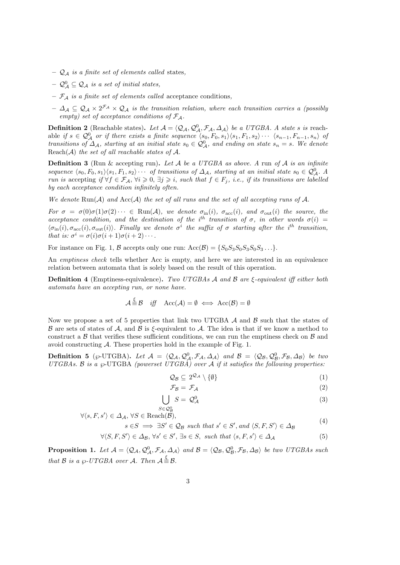- $\mathcal{Q}_A$  is a finite set of elements called states,
- $\mathcal{Q}_{\mathcal{A}}^{0} \subseteq \mathcal{Q}_{\mathcal{A}}$  is a set of initial states,
- $\mathcal{F}_{\mathcal{A}}$  is a finite set of elements called acceptance conditions,
- $\Delta_A \subseteq Q_A \times 2^{\mathcal{F}_A} \times Q_A$  is the transition relation, where each transition carries a (possibly empty) set of acceptance conditions of  $\mathcal{F}_{\mathcal{A}}$ .

**Definition 2** (Reachable states). Let  $\mathcal{A} = \langle \mathcal{Q}_\mathcal{A}, \mathcal{Q}_\mathcal{A}^0, \mathcal{F}_\mathcal{A}, \Delta_\mathcal{A} \rangle$  be a UTGBA. A state s is reachable if  $s \in \mathcal{Q}_{\mathcal{A}}^0$  or if there exists a finite sequence  $\langle s_0, F_0, s_1 \rangle \langle s_1, F_1, s_2 \rangle \cdots \langle s_{n-1}, F_{n-1}, s_n \rangle$  of transitions of  $\Delta_A$ , starting at an initial state  $s_0 \in \mathcal{Q}^0_A$ , and ending on state  $s_n = s$ . We denote Reach $(A)$  the set of all reachable states of  $A$ .

**Definition 3** (Run & accepting run). Let A be a UTGBA as above. A run of A is an infinite sequence  $\langle s_0, F_0, s_1\rangle \langle s_1, F_1, s_2\rangle \cdots$  of transitions of  $\Delta_{\mathcal{A}}$ , starting at an initial state  $s_0 \in \mathcal{Q}_{\mathcal{A}}^0$ . A run is accepting if  $\forall f \in \mathcal{F}_\mathcal{A}, \forall i \geqslant 0, \exists j \geqslant i$ , such that  $f \in F_j$ , i.e., if its transitions are labelled by each acceptance condition infinitely often.

We denote  $\text{Run}(\mathcal{A})$  and  $\text{Acc}(\mathcal{A})$  the set of all runs and the set of all accepting runs of  $\mathcal{A}$ .

For  $\sigma = \sigma(0)\sigma(1)\sigma(2)\cdots \in \text{Run}(\mathcal{A})$ , we denote  $\sigma_{\text{in}}(i)$ ,  $\sigma_{\text{acc}}(i)$ , and  $\sigma_{\text{out}}(i)$  the source, the acceptance condition, and the destination of the i<sup>th</sup> transition of  $\sigma$ , in other words  $\sigma(i)$  $\langle \sigma_{\text{in}}(i), \sigma_{\text{occ}}(i), \sigma_{\text{out}}(i)\rangle$ . Finally we denote  $\sigma^i$  the suffix of  $\sigma$  starting after the i<sup>th</sup> transition, that is:  $\sigma^i = \sigma(i)\sigma(i+1)\sigma(i+2)\cdots$ .

For instance on Fig. 1, B accepts only one run:  $Acc(B) = \{S_0S_3S_0S_3S_0S_3\ldots\}$ .

An emptiness check tells whether Acc is empty, and here we are interested in an equivalence relation between automata that is solely based on the result of this operation.

Definition 4 (Emptiness-equivalence). Two UTGBAs A and B are ξ-equivalent iff either both automata have an accepting run, or none have.

$$
\mathcal{A} \stackrel{\xi}{\equiv} \mathcal{B} \quad \text{iff} \quad \text{Acc}(\mathcal{A}) = \emptyset \iff \text{Acc}(\mathcal{B}) = \emptyset
$$

Now we propose a set of 5 properties that link two UTGBA  $\mathcal A$  and  $\mathcal B$  such that the states of B are sets of states of A, and B is  $\xi$ -equivalent to A. The idea is that if we know a method to construct a  $\beta$  that verifies these sufficient conditions, we can run the emptiness check on  $\beta$  and avoid constructing  $A$ . These properties hold in the example of Fig. 1.

**Definition 5** ( $\wp$ -UTGBA). Let  $\mathcal{A} = \langle \mathcal{Q}_{\mathcal{A}}, \mathcal{Q}_{\mathcal{A}}^0, \mathcal{F}_{\mathcal{A}}, \Delta_{\mathcal{A}} \rangle$  and  $\mathcal{B} = \langle \mathcal{Q}_{\mathcal{B}}, \mathcal{Q}_{\mathcal{B}}^0, \mathcal{F}_{\mathcal{B}}, \Delta_{\mathcal{B}} \rangle$  be two UTGBAs. B is a  $\wp$ -UTGBA (powerset UTGBA) over A if it satisfies the following properties:

$$
\mathcal{Q}_{\mathcal{B}} \subseteq 2^{\mathcal{Q}_{\mathcal{A}}} \setminus \{\emptyset\} \tag{1}
$$

$$
\mathcal{F}_{\mathcal{B}} = \mathcal{F}_{\mathcal{A}} \tag{2}
$$

$$
\bigcup_{\in Q^0_{\mathcal{A}}} S = \mathcal{Q}^0_{\mathcal{A}} \tag{3}
$$

 $\forall \langle s, F, s' \rangle \in \Delta_{\mathcal{A}}, \ \forall S \in \text{Reach}(\mathcal{B}),$ 

$$
s \in S \implies \exists S' \in \mathcal{Q}_B \text{ such that } s' \in S', \text{ and } \langle S, F, S' \rangle \in \mathcal{\Delta}_B \tag{4}
$$

$$
\forall \langle S, F, S' \rangle \in \Delta_{\mathcal{B}}, \forall s' \in S', \exists s \in S, \text{ such that } \langle s, F, s' \rangle \in \Delta_{\mathcal{A}} \tag{5}
$$

**Proposition 1.** Let  $A = \langle Q_A, Q_A^0, \mathcal{F}_A, \Delta_A \rangle$  and  $B = \langle Q_B, Q_B^0, \mathcal{F}_B, \Delta_B \rangle$  be two UTGBAs such that B is a  $\wp$ -UTGBA over A. Then  $\mathcal{A} \stackrel{\xi}{=} \mathcal{B}$ .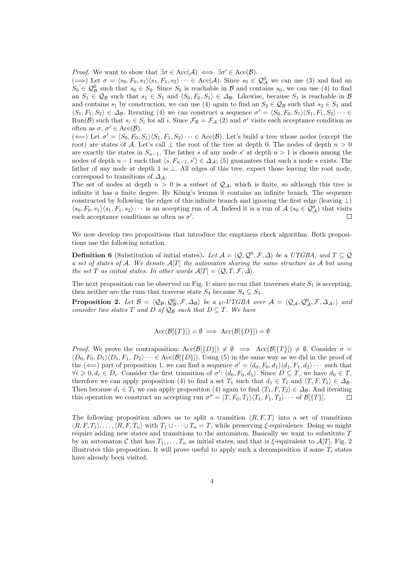*Proof.* We want to show that  $\exists \sigma \in Acc(\mathcal{A}) \iff \exists \sigma' \in Acc(\mathcal{B})$ .

 $(\implies)$  Let  $\sigma = \langle s_0, F_0, s_1 \rangle \langle s_1, F_1, s_2 \rangle \cdots \in Acc(\mathcal{A})$ . Since  $s_0 \in \mathcal{Q}_{\mathcal{A}}^0$  we can use (3) and find an  $S_0 \in \mathcal{Q}_{\mathcal{B}}^0$  such that  $s_0 \in S_0$ . Since  $S_0$  is reachable in  $\mathcal{B}$  and contains  $s_0$ , we can use (4) to find an  $S_1 \in \mathcal{Q}_\mathcal{B}$  such that  $s_1 \in S_1$  and  $\langle S_0, F_0, S_1 \rangle \in \Delta_\mathcal{B}$ . Likewise, because  $S_1$  is reachable in  $\mathcal{B}$ and contains  $s_1$  by construction, we can use (4) again to find an  $S_2 \in \mathcal{Q}_\mathcal{B}$  such that  $s_2 \in S_1$  and  $\langle S_1, F_1, S_2 \rangle \in \Delta_{\mathcal{B}}$ . Iterating (4) we can construct a sequence  $\sigma' = \langle S_0, F_0, S_1 \rangle \langle S_1, F_1, S_2 \rangle \cdots \in$ Run(B) such that  $s_i \in S_i$  for all i. Since  $\mathcal{F}_{\mathcal{B}} = \mathcal{F}_{\mathcal{A}}(2)$  and  $\sigma'$  visits each acceptance condition as often as  $\sigma, \sigma' \in Acc(\mathcal{B})$ .

 $(\Leftarrow)$  Let  $\sigma' = \langle S_0, F_0, S_1 \rangle \langle S_1, F_1, S_2 \rangle \cdots \in Acc(\mathcal{B})$ . Let's build a tree whose nodes (except the root) are states of A. Let's call  $\perp$  the root of the tree at depth 0. The nodes of depth  $n > 0$ are exactly the states in  $S_{n-1}$ . The father s of any node s' at depth  $n > 1$  is chosen among the nodes of depth  $n-1$  such that  $\langle s, F_{n-1}, s' \rangle \in \Delta_{\mathcal{A}}$ ; (5) guarantees that such a node s exists. The father of any node at depth 1 is  $\perp$ . All edges of this tree, expect those leaving the root node, correspond to transitions of  $\Delta_A$ .

The set of nodes at depth  $n > 0$  is a subset of  $\mathcal{Q}_A$ , which is finite, so although this tree is infinite it has a finite degree. By König's lemma it contains an infinite branch. The sequence constructed by following the edges of this infinite branch and ignoring the first edge (leaving  $\perp$ )  $\langle s_0, F_0, s_1\rangle \langle s_1, F_1, s_2\rangle \cdots$  is an accepting run of A. Indeed it is a run of A  $(s_0 \in \mathcal{Q}^0_{\mathcal{A}})$  that visits each acceptance conditions as often as  $\sigma'$ .  $\Box$ 

We now develop two propositions that introduce the emptiness check algorithm. Both propositions use the following notation.

**Definition 6** (Substitution of initial states). Let  $\mathcal{A} = \langle \mathcal{Q}, \mathcal{Q}^0, \mathcal{F}, \Delta \rangle$  be a UTGBA, and  $T \subseteq \mathcal{Q}$ a set of states of A. We denote  $A[T]$  the automaton sharing the same structure as A but using the set T as initial states. In other words  $\mathcal{A}[T] = \langle \mathcal{Q}, T, \mathcal{F}, \Delta \rangle$ .

The next proposition can be observed on Fig. 1: since no run that traverses state  $S_1$  is accepting, then neither are the runs that traverse state  $S_4$  because  $S_4 \subseteq S_1$ .

**Proposition 2.** Let  $\mathcal{B} = \langle \mathcal{Q}_{\mathcal{B}}, \mathcal{Q}_{\mathcal{B}}^0, \mathcal{F}, \Delta_{\mathcal{B}} \rangle$  be a  $\wp$ -UTGBA over  $\mathcal{A} = \langle \mathcal{Q}_{\mathcal{A}}, \mathcal{Q}_{\mathcal{A}}^0, \mathcal{F}, \Delta_{\mathcal{A}}, \rangle$  and consider two states T and D of  $\mathcal{Q}_\mathcal{B}$  such that  $D \subseteq T$ . We have

$$
Acc(\mathcal{B}[\{T\}]) = \emptyset \implies Acc(\mathcal{B}[\{D\}]) = \emptyset
$$

*Proof.* We prove the contraposition:  $Acc(\mathcal{B}[\{D\}) \neq \emptyset \implies Acc(\mathcal{B}[\{T\}]) \neq \emptyset$ . Consider  $\sigma =$  $\langle D_0, F_0, D_1 \rangle \langle D_1, F_1, D_2 \rangle \cdots \in \text{Acc}(\mathcal{B}[\{D\}])$ . Using (5) in the same way as we did in the proof of the  $(\Leftarrow)$  part of proposition 1, we can find a sequence  $\sigma' = \langle d_0, F_0, d_1 \rangle \langle d_1, F_1, d_2 \rangle \cdots$  such that  $\forall i \geqslant 0, d_i \in D_i$ . Consider the first transition of  $\sigma' : \langle d_0, F_0, d_1 \rangle$ . Since  $D \subseteq T$ , we have  $d_0 \in T$ , therefore we can apply proposition (4) to find a set  $T_1$  such that  $d_1 \in T_1$  and  $\langle T, F, T_1 \rangle \in \Delta_B$ . Then because  $d_1 \in T_1$  we can apply proposition (4) again to find  $\langle T_1, F, T_2 \rangle \in \Delta_B$ . And iterating this operation we construct an accepting run  $\sigma'' = \langle T, F_0, T_1 \rangle \langle T_1, F_1, T_2 \rangle \cdots$  of  $\mathcal{B}[\{T\}]$ .  $\Box$ 

The following proposition allows us to split a transition  $\langle R, F, T \rangle$  into a set of transitions  $\langle R, F, T_1 \rangle, \ldots, \langle R, F, T_n \rangle$  with  $T_1 \cup \cdots \cup T_n = T$ , while preserving  $\xi$ -equivalence. Doing so might require adding new states and transitions to the automaton. Basically we want to substitute  $T$ by an automaton C that has  $T_1, \ldots, T_n$  as initial states, and that is  $\xi$ -equivalent to  $\mathcal{A}[T]$ . Fig. 2 illustrates this proposition. It will prove useful to apply such a decomposition if some  $T_i$  states have already been visited.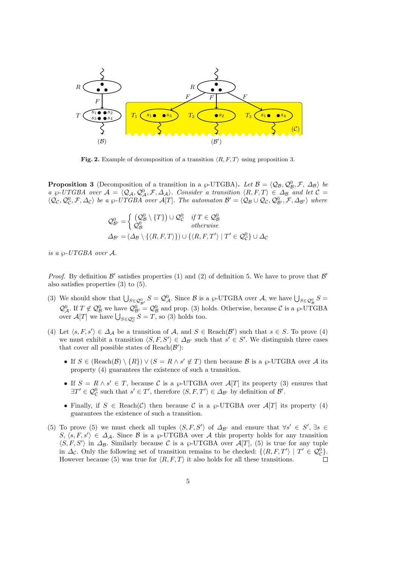

Fig. 2. Example of decomposition of a transition  $\langle R, F, T \rangle$  using proposition 3.

**Proposition 3** (Decomposition of a transition in a  $\wp$ -UTGBA). Let  $\mathcal{B} = \langle \mathcal{Q}_{\mathcal{B}}, \mathcal{Q}_{\mathcal{B}}^0, \mathcal{F}, \Delta_{\mathcal{B}} \rangle$  be a  $\wp$ -UTGBA over  $\mathcal{A} = \langle \mathcal{Q}_\mathcal{A}, \mathcal{Q}^0_\mathcal{A}, \mathcal{F}, \Delta_\mathcal{A} \rangle$ . Consider a transition  $\langle R, F, T \rangle \in \Delta_\mathcal{B}$  and let  $\mathcal{C} =$  $\langle \mathcal{Q}_{\mathcal{C}}, \mathcal{Q}_{\mathcal{C}}^0, \mathcal{F}, \Delta_{\mathcal{C}} \rangle$  be a  $\wp$ -UTGBA over  $\mathcal{A}[T]$ . The automaton  $\mathcal{B}' = \langle \mathcal{Q}_{\mathcal{B}} \cup \mathcal{Q}_{\mathcal{C}}, \mathcal{Q}_{\mathcal{B}'}^0, \mathcal{F}, \Delta_{\mathcal{B}'} \rangle$  where

$$
\mathcal{Q}_{\mathcal{B}'}^{0} = \begin{cases}\n(\mathcal{Q}_{\mathcal{B}}^{0} \setminus \{T\}) \cup \mathcal{Q}_{\mathcal{C}}^{0} & \text{if } T \in \mathcal{Q}_{\mathcal{B}}^{0} \\
\mathcal{Q}_{\mathcal{B}}^{0} & \text{otherwise}\n\end{cases}
$$
\n
$$
\Delta_{\mathcal{B}'} = (\Delta_{\mathcal{B}} \setminus \{ \langle R, F, T \rangle \}) \cup \{ \langle R, F, T' \rangle \mid T' \in \mathcal{Q}_{\mathcal{C}}^{0} \} \cup \Delta_{\mathcal{C}}\n\end{cases}
$$

is a  $\wp$ -UTGBA over A.

*Proof.* By definition  $\mathcal{B}'$  satisfies properties (1) and (2) of definition 5. We have to prove that  $\mathcal{B}'$ also satisfies properties (3) to (5).

- (3) We should show that  $\bigcup_{S \in \mathcal{Q}_{\mathcal{B}}^0} S = \mathcal{Q}_{\mathcal{A}}^0$ . Since  $\mathcal{B}$  is a  $\wp$ -UTGBA over  $\mathcal{A}$ , we have  $\bigcup_{S \in \mathcal{Q}_{\mathcal{B}}^0} S =$  $\mathcal{Q}_{\mathcal{A}}^0$ . If  $T \notin \mathcal{Q}_{\mathcal{B}}^0$  we have  $\mathcal{Q}_{\mathcal{B}}^0 = \mathcal{Q}_{\mathcal{B}}^0$  and prop. (3) holds. Otherwise, because  $\mathcal{C}$  is a  $\wp$ -UTGBA over  $\mathcal{A}[T]$  we have  $\bigcup_{S \in \mathcal{Q}_{\mathcal{C}}^0} S = T$ , so (3) holds too.
- (4) Let  $\langle s, F, s' \rangle \in \Delta_{\mathcal{A}}$  be a transition of  $\mathcal{A}$ , and  $S \in \text{Reach}(\mathcal{B}')$  such that  $s \in S$ . To prove (4) we must exhibit a transition  $\langle S, F, S' \rangle \in \Delta_{\mathcal{B}'}$  such that  $s' \in S'$ . We distinguish three cases that cover all possible states of  $Reach(\mathcal{B}')$ :
	- If  $S \in (\text{Reach}(\mathcal{B}) \setminus \{R\}) \vee (S = R \wedge s' \notin T)$  then because  $\mathcal{B}$  is a  $\wp$ -UTGBA over A its property (4) guarantees the existence of such a transition.
	- If  $S = R \wedge s' \in T$ , because C is a  $\wp$ -UTGBA over  $\mathcal{A}[T]$  its property (3) ensures that  $\exists T' \in \mathcal{Q}_{\mathcal{C}}^0$  such that  $s' \in T'$ , therefore  $\langle S, F, T' \rangle \in \Delta_{\mathcal{B}'}$  by definition of  $\mathcal{B}'$ .
	- Finally, if  $S \in \text{Reach}(\mathcal{C})$  then because  $\mathcal C$  is a  $\wp$ -UTGBA over  $\mathcal A[T]$  its property (4) guarantees the existence of such a transition.
- (5) To prove (5) we must check all tuples  $\langle S, F, S' \rangle$  of  $\Delta_{\mathcal{B}'}$  and ensure that  $\forall s' \in S', \exists s \in$ S,  $\langle s, F, s' \rangle \in \Delta_{\mathcal{A}}$ . Since B is a  $\wp$ -UTGBA over A this property holds for any transition  $\langle S, F, S' \rangle$  in  $\Delta_{\mathcal{B}}$ . Similarly because C is a  $\wp$ -UTGBA over  $\mathcal{A}[T]$ , (5) is true for any tuple in  $\Delta_{\mathcal{C}}$ . Only the following set of transition remains to be checked:  $\{R, F, T'\}\mid T' \in \mathcal{Q}_{\mathcal{C}}^0\}$ . However because (5) was true for  $\langle R, F, T \rangle$  it also holds for all these transitions.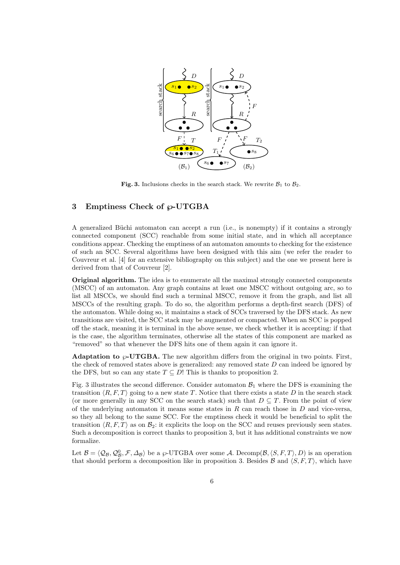

Fig. 3. Inclusions checks in the search stack. We rewrite  $\mathcal{B}_1$  to  $\mathcal{B}_2$ .

### 3 Emptiness Check of  $\varphi$ -UTGBA

A generalized Büchi automaton can accept a run (i.e., is nonempty) if it contains a strongly connected component (SCC) reachable from some initial state, and in which all acceptance conditions appear. Checking the emptiness of an automaton amounts to checking for the existence of such an SCC. Several algorithms have been designed with this aim (we refer the reader to Couvreur et al. [4] for an extensive bibliography on this subject) and the one we present here is derived from that of Couvreur [2].

Original algorithm. The idea is to enumerate all the maximal strongly connected components (MSCC) of an automaton. Any graph contains at least one MSCC without outgoing arc, so to list all MSCCs, we should find such a terminal MSCC, remove it from the graph, and list all MSCCs of the resulting graph. To do so, the algorithm performs a depth-first search (DFS) of the automaton. While doing so, it maintains a stack of SCCs traversed by the DFS stack. As new transitions are visited, the SCC stack may be augmented or compacted. When an SCC is popped off the stack, meaning it is terminal in the above sense, we check whether it is accepting: if that is the case, the algorithm terminates, otherwise all the states of this component are marked as "removed" so that whenever the DFS hits one of them again it can ignore it.

**Adaptation to**  $\wp$ **-UTGBA.** The new algorithm differs from the original in two points. First, the check of removed states above is generalized: any removed state  $D$  can indeed be ignored by the DFS, but so can any state  $T \subseteq D!$  This is thanks to proposition 2.

Fig. 3 illustrates the second difference. Consider automaton  $B_1$  where the DFS is examining the transition  $\langle R, F, T \rangle$  going to a new state T. Notice that there exists a state D in the search stack (or more generally in any SCC on the search stack) such that  $D \subseteq T$ . From the point of view of the underlying automaton it means some states in R can reach those in D and vice-versa, so they all belong to the same SCC. For the emptiness check it would be beneficial to split the transition  $\langle R, F, T \rangle$  as on  $\mathcal{B}_2$ : it explicits the loop on the SCC and reuses previously seen states. Such a decomposition is correct thanks to proposition 3, but it has additional constraints we now formalize.

Let  $\mathcal{B} = \langle \mathcal{Q}_{\mathcal{B}}, \mathcal{Q}_{\mathcal{B}}^0, \mathcal{F}, \Delta_{\mathcal{B}} \rangle$  be a  $\wp$ -UTGBA over some A. Decomp $(\mathcal{B}, \langle S, F, T \rangle, D)$  is an operation that should perform a decomposition like in proposition 3. Besides  $\mathcal{B}$  and  $\langle S, F, T \rangle$ , which have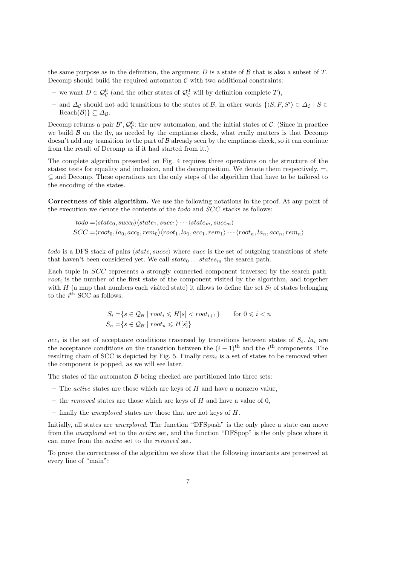the same purpose as in the definition, the argument  $D$  is a state of  $\beta$  that is also a subset of  $T$ . Decomp should build the required automaton  $\mathcal C$  with two additional constraints:

- − we want  $D \in \mathcal{Q}_{\mathcal{C}}^0$  (and the other states of  $\mathcal{Q}_{\mathcal{C}}^0$  will by definition complete T),
- $-$  and  $\Delta_{\mathcal{C}}$  should not add transitions to the states of  $\mathcal{B}$ , in other words  $\{S, F, S'\}\in \Delta_{\mathcal{C}}\mid S\in$  $\text{Reach}(\mathcal{B})\} \subseteq \Delta_{\mathcal{B}}$ .

Decomp returns a pair  $\mathcal{B}', \mathcal{Q}_{\mathcal{C}}^0$ : the new automaton, and the initial states of  $\mathcal{C}$ . (Since in practice we build  $\beta$  on the fly, as needed by the emptiness check, what really matters is that Decomp doesn't add any transition to the part of  $\beta$  already seen by the emptiness check, so it can continue from the result of Decomp as if it had started from it.)

The complete algorithm presented on Fig. 4 requires three operations on the structure of the states: tests for equality and inclusion, and the decomposition. We denote them respectively,  $=$ , ⊆ and Decomp. These operations are the only steps of the algorithm that have to be tailored to the encoding of the states.

Correctness of this algorithm. We use the following notations in the proof. At any point of the execution we denote the contents of the *todo* and *SCC* stacks as follows:

$$
todo = \langle state_0, succ_0 \rangle \langle state_1, succ_1 \rangle \cdots \langle state_m, succ_m \rangle
$$
  

$$
SCC = \langle root_0, la_0, acc_0, rem_0 \rangle \langle root_1, la_1, acc_1, rem_1 \rangle \cdots \langle root_n, la_n, acc_n, rem_n \rangle
$$

todo is a DFS stack of pairs  $\langle state, succ \rangle$  where succ is the set of outgoing transitions of state that haven't been considered yet. We call  $state_0 \dots states_m$  the search path.

Each tuple in SCC represents a strongly connected component traversed by the search path.  $root_i$  is the number of the first state of the component visited by the algorithm, and together with  $H$  (a map that numbers each visited state) it allows to define the set  $S_i$  of states belonging to the  $i^{\text{th}}$  SCC as follows:

$$
S_i = \{ s \in \mathcal{Q}_B \mid root_i \le H[s] < root_{i+1} \} \quad \text{for } 0 \le i < n
$$
\n
$$
S_n = \{ s \in \mathcal{Q}_B \mid root_n \le H[s] \}
$$

 $acc_i$  is the set of acceptance conditions traversed by transitions between states of  $S_i$ .  $la_i$  are the acceptance conditions on the transition between the  $(i-1)$ <sup>th</sup> and the i<sup>th</sup> components. The resulting chain of SCC is depicted by Fig. 5. Finally  $rem_i$  is a set of states to be removed when the component is popped, as we will see later.

The states of the automaton  $\beta$  being checked are partitioned into three sets:

- The *active* states are those which are keys of  $H$  and have a nonzero value,
- the removed states are those which are keys of  $H$  and have a value of 0,
- finally the unexplored states are those that are not keys of H.

Initially, all states are *unexplored*. The function "DFSpush" is the only place a state can move from the unexplored set to the active set, and the function "DFSpop" is the only place where it can move from the active set to the removed set.

To prove the correctness of the algorithm we show that the following invariants are preserved at every line of "main":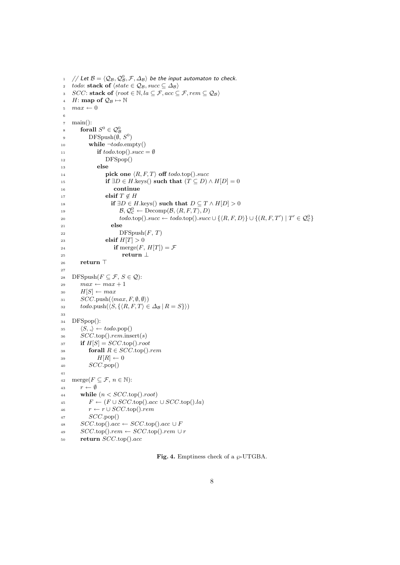```
1 \quad \text{/} \text{/} Let \mathcal{B} = \langle \mathcal{Q}_{\mathcal{B}}, \mathcal{Q}_{\mathcal{B}}^0, \mathcal{F}, \Delta_{\mathcal{B}} \rangle be the input automaton to check.
 2 todo: stack of \langle state \in \mathcal{Q}_B, succ \subseteq \Delta_B \rangle3 SCC: stack of \langle root \in \mathbb{N}, la \subseteq \mathcal{F}, acc \subseteq \mathcal{F}, rem \subseteq \mathcal{Q}_B \rangle4 H: map of \mathcal{Q}_{\mathcal{B}} \mapsto \mathbb{N}5 max \leftarrow 06
 \tau main():
 8 forall S^0 \in \mathcal{Q}_{\mathcal{B}}^09 DFSpush(\emptyset, S^0)10 while \neg to do.\nempty()11 if todo.\text{top}(). succ = \emptyset12 DFSpop()
13 else
14 pick one \langle R, F, T \rangle off todo.top().succ
15 if \exists D \in H.keys() such that (T \subseteq D) \wedge H[D] = 016 continue
17 elsif T \notin H18 if \exists D \in H.keys() such that D \subseteq T \wedge H[D] > 019 \mathcal{B}, \mathcal{Q}_{\mathcal{C}}^0 \leftarrow \text{Decomp}(\mathcal{B}, \langle R, F, T \rangle, D)20 \text{todo.top}() . \text{succ} \leftarrow \text{todo.top}() . \text{succ} \cup \{ \langle R, F, D \rangle \} \cup \{ (R, F, T') \mid T' \in \mathcal{Q}_{\mathcal{C}}^0 \}21 else
22 DFSpush(F, T)23 elsif H[T] > 024 if merge(F, H[T]) = \mathcal{F}25 return ⊥
26 return \top27
28 DFSpush(F \subseteq \mathcal{F}, S \in \mathcal{Q}):
29 max \leftarrow max + 130 H[S] \leftarrow max31 SCC.\text{push}(\langle max, F, \emptyset, \emptyset \rangle)32 \text{todo.push}(\langle S, \{ \langle R, F, T \rangle \in \Delta_{\mathcal{B}} | R = S \} \rangle)33
34 DFSpop():
35 \langle S, \_ \rangle \leftarrow todo.pop()36 SCC.top().rem.insert(s)
37 if H[S] = SCC \text{top}().root
38 forall R \in SCC.\text{top}().rem
39 H[R] \leftarrow 040 SCC.pop()
41
42 merge(F \subseteq \mathcal{F}, n \in \mathbb{N}):
43 r \leftarrow \emptyset44 while (n < SCC.\text{top}().\text{root})45 F \leftarrow (F \cup SCC.\text{top}().acc \cup SCC.\text{top}().la)46 r \leftarrow r \cup SCC.\text{top}().rem
47 SCC.pop()
48 SCC.\text{top}() . acc \leftarrow SCC.\text{top}() . acc \cup F49 SCC.\text{top}().rem ← SCC.\text{top}().rem ∪ r
50 return SCC.top().acc
```
Fig. 4. Emptiness check of a  $\wp$ -UTGBA.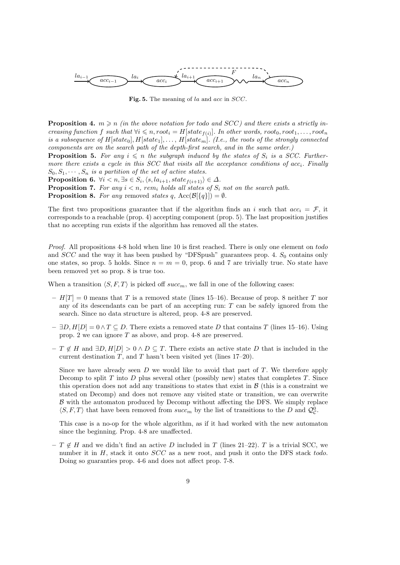

Fig. 5. The meaning of la and acc in SCC.

**Proposition 4.**  $m \geq n$  (in the above notation for todo and SCC) and there exists a strictly increasing function f such that  $\forall i \leq n, root_i = H[state_{f(i)}].$  In other words,  $root_0, root_1, ..., root_n$ is a subsequence of  $H[state_0], H[state_1], \ldots, H[state_m]$ . (I.e., the roots of the strongly connected components are on the search path of the depth-first search, and in the same order.)

**Proposition 5.** For any  $i \leq n$  the subgraph induced by the states of  $S_i$  is a SCC. Furthermore there exists a cycle in this SCC that visits all the acceptance conditions of  $acc_i$ . Finally  $S_0, S_1, \cdots, S_n$  is a partition of the set of active states.

Proposition 6.  $\forall i \leq n, \exists s \in S_i, \langle s, la_{i+1}, state_{f(i+1)} \rangle \in \Delta$ .

**Proposition 7.** For any  $i < n$ , rem<sub>i</sub> holds all states of  $S_i$  not on the search path. **Proposition 8.** For any removed states q, Acc( $\mathcal{B}[\{q\}] = \emptyset$ .

The first two propositions guarantee that if the algorithm finds an i such that  $acc_i = \mathcal{F}$ , it corresponds to a reachable (prop. 4) accepting component (prop. 5). The last proposition justifies that no accepting run exists if the algorithm has removed all the states.

Proof. All propositions 4-8 hold when line 10 is first reached. There is only one element on todo and  $SCC$  and the way it has been pushed by "DFSpush" guarantees prop. 4.  $S_0$  contains only one states, so prop. 5 holds. Since  $n = m = 0$ , prop. 6 and 7 are trivially true. No state have been removed yet so prop. 8 is true too.

When a transition  $\langle S, F, T \rangle$  is picked off succ<sub>m</sub>, we fall in one of the following cases:

- $H[T] = 0$  means that T is a removed state (lines 15–16). Because of prop. 8 neither T nor any of its descendants can be part of an accepting run: T can be safely ignored from the search. Since no data structure is altered, prop. 4-8 are preserved.
- $\exists D, H[D] = 0 \land T \subseteq D$ . There exists a removed state D that contains T (lines 15–16). Using prop. 2 we can ignore T as above, and prop. 4-8 are preserved.
- $T \notin H$  and  $\exists D, H[D] > 0 \wedge D \subseteq T$ . There exists an active state D that is included in the current destination  $T$ , and  $T$  hasn't been visited yet (lines 17–20).

Since we have already seen  $D$  we would like to avoid that part of  $T$ . We therefore apply Decomp to split  $T$  into  $D$  plus several other (possibly new) states that completes  $T$ . Since this operation does not add any transitions to states that exist in  $\beta$  (this is a constraint we stated on Decomp) and does not remove any visited state or transition, we can overwrite B with the automaton produced by Decomp without affecting the DFS. We simply replace  $\langle S, F, T \rangle$  that have been removed from  $succ_m$  by the list of transitions to the D and  $\mathcal{Q}_{\mathcal{C}}^0$ .

This case is a no-op for the whole algorithm, as if it had worked with the new automaton since the beginning. Prop. 4-8 are unaffected.

–  $T \notin H$  and we didn't find an active D included in T (lines 21–22). T is a trivial SCC, we number it in H, stack it onto  $SCC$  as a new root, and push it onto the DFS stack todo. Doing so guaranties prop. 4-6 and does not affect prop. 7-8.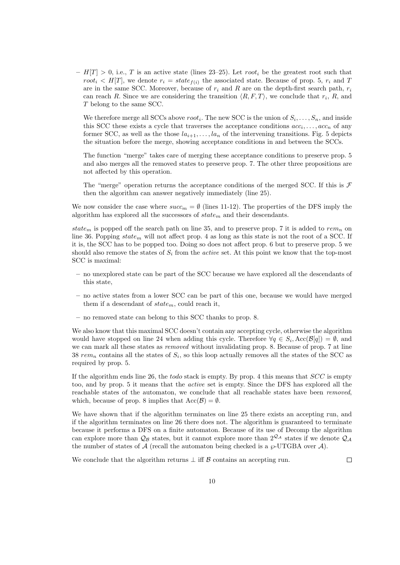$- H[T] > 0$ , i.e., T is an active state (lines 23–25). Let root<sub>i</sub> be the greatest root such that root<sub>i</sub>  $\lt H[T]$ , we denote  $r_i = state_{f(i)}$  the associated state. Because of prop. 5,  $r_i$  and T are in the same SCC. Moreover, because of  $r_i$  and R are on the depth-first search path,  $r_i$ can reach R. Since we are considering the transition  $\langle R, F, T \rangle$ , we conclude that  $r_i$ , R, and T belong to the same SCC.

We therefore merge all SCCs above  $root_i$ . The new SCC is the union of  $S_i, \ldots, S_n$ , and inside this SCC these exists a cycle that traverses the acceptance conditions  $acc_i, \ldots, acc_n$  of any former SCC, as well as the those  $la_{i+1}, \ldots, la_n$  of the intervening transitions. Fig. 5 depicts the situation before the merge, showing acceptance conditions in and between the SCCs.

The function "merge" takes care of merging these acceptance conditions to preserve prop. 5 and also merges all the removed states to preserve prop. 7. The other three propositions are not affected by this operation.

The "merge" operation returns the acceptance conditions of the merged SCC. If this is  $\mathcal F$ then the algorithm can answer negatively immediately (line 25).

We now consider the case where  $succ_m = \emptyset$  (lines 11-12). The properties of the DFS imply the algorithm has explored all the successors of  $state_m$  and their descendants.

state<sub>m</sub> is popped off the search path on line 35, and to preserve prop. 7 it is added to rem<sub>n</sub> on line 36. Popping  $state_m$  will not affect prop. 4 as long as this state is not the root of a SCC. If it is, the SCC has to be popped too. Doing so does not affect prop. 6 but to preserve prop. 5 we should also remove the states of  $S_i$  from the *active* set. At this point we know that the top-most SCC is maximal:

- no unexplored state can be part of the SCC because we have explored all the descendants of this state,
- no active states from a lower SCC can be part of this one, because we would have merged them if a descendant of  $state_m$ , could reach it,
- no removed state can belong to this SCC thanks to prop. 8.

We also know that this maximal SCC doesn't contain any accepting cycle, otherwise the algorithm would have stopped on line 24 when adding this cycle. Therefore  $\forall q \in S_i, \text{Acc}(\mathcal{B}[q]) = \emptyset$ , and we can mark all these states as removed without invalidating prop. 8. Because of prop. 7 at line 38  $rem_n$  contains all the states of  $S_i$ , so this loop actually removes all the states of the SCC as required by prop. 5.

If the algorithm ends line 26, the todo stack is empty. By prop. 4 this means that SCC is empty too, and by prop. 5 it means that the active set is empty. Since the DFS has explored all the reachable states of the automaton, we conclude that all reachable states have been removed, which, because of prop. 8 implies that  $Acc(\mathcal{B}) = \emptyset$ .

We have shown that if the algorithm terminates on line 25 there exists an accepting run, and if the algorithm terminates on line 26 there does not. The algorithm is guaranteed to terminate because it performs a DFS on a finite automaton. Because of its use of Decomp the algorithm can explore more than  $\mathcal{Q}_B$  states, but it cannot explore more than  $2^{\mathcal{Q}_A}$  states if we denote  $\mathcal{Q}_A$ the number of states of A (recall the automaton being checked is a  $\wp$ -UTGBA over A).

We conclude that the algorithm returns  $\perp$  iff  $\beta$  contains an accepting run.

 $\Box$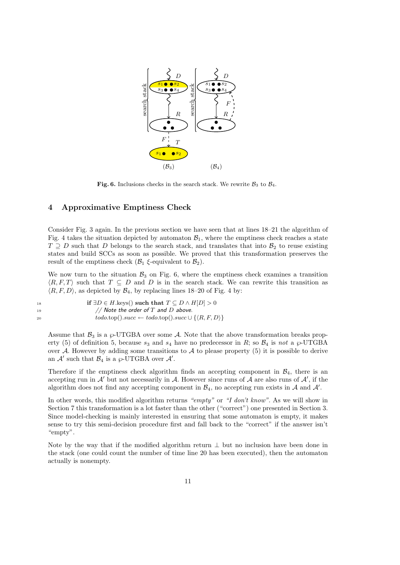

Fig. 6. Inclusions checks in the search stack. We rewrite  $\mathcal{B}_3$  to  $\mathcal{B}_4$ .

### 4 Approximative Emptiness Check

Consider Fig. 3 again. In the previous section we have seen that at lines 18–21 the algorithm of Fig. 4 takes the situation depicted by automaton  $\mathcal{B}_1$ , where the emptiness check reaches a state  $T \supseteq D$  such that D belongs to the search stack, and translates that into  $\mathcal{B}_2$  to reuse existing states and build SCCs as soon as possible. We proved that this transformation preserves the result of the emptiness check  $(\mathcal{B}_1 \xi$ -equivalent to  $\mathcal{B}_2)$ .

We now turn to the situation  $\mathcal{B}_3$  on Fig. 6, where the emptiness check examines a transition  $\langle R, F, T \rangle$  such that  $T \subseteq D$  and D is in the search stack. We can rewrite this transition as  $\langle R, F, D \rangle$ , as depicted by  $\mathcal{B}_4$ , by replacing lines 18–20 of Fig. 4 by:

| 18 | if $\exists D \in H$ keys() such that $T \subseteq D \wedge H[D] > 0$           |
|----|---------------------------------------------------------------------------------|
| 19 | // Note the order of T and D above.                                             |
| 20 | $todo, top().succ \leftarrow todo, top().succ \cup \{\langle R, F, D \rangle\}$ |

Assume that  $\mathcal{B}_3$  is a  $\wp$ -UTGBA over some A. Note that the above transformation breaks property (5) of definition 5, because  $s_3$  and  $s_4$  have no predecessor in R; so  $\mathcal{B}_4$  is not a  $\wp$ -UTGBA over A. However by adding some transitions to A to please property  $(5)$  it is possible to derive an  $\mathcal{A}'$  such that  $\mathcal{B}_4$  is a  $\wp$ -UTGBA over  $\mathcal{A}'$ .

Therefore if the emptiness check algorithm finds an accepting component in  $\mathcal{B}_4$ , there is an accepting run in  $\mathcal{A}'$  but not necessarily in  $\mathcal{A}$ . However since runs of  $\mathcal{A}$  are also runs of  $\mathcal{A}'$ , if the algorithm does not find any accepting component in  $\mathcal{B}_4$ , no accepting run exists in A and A'.

In other words, this modified algorithm returns "empty" or "I don't know". As we will show in Section 7 this transformation is a lot faster than the other ("correct") one presented in Section 3. Since model-checking is mainly interested in ensuring that some automaton is empty, it makes sense to try this semi-decision procedure first and fall back to the "correct" if the answer isn't "empty".

Note by the way that if the modified algorithm return  $\perp$  but no inclusion have been done in the stack (one could count the number of time line 20 has been executed), then the automaton actually is nonempty.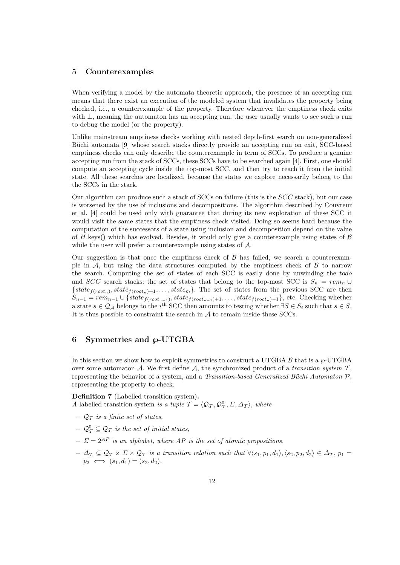### 5 Counterexamples

When verifying a model by the automata theoretic approach, the presence of an accepting run means that there exist an execution of the modeled system that invalidates the property being checked, i.e., a counterexample of the property. Therefore whenever the emptiness check exits with ⊥, meaning the automaton has an accepting run, the user usually wants to see such a run to debug the model (or the property).

Unlike mainstream emptiness checks working with nested depth-first search on non-generalized Büchi automata [9] whose search stacks directly provide an accepting run on exit, SCC-based emptiness checks can only describe the counterexample in term of SCCs. To produce a genuine accepting run from the stack of SCCs, these SCCs have to be searched again [4]. First, one should compute an accepting cycle inside the top-most SCC, and then try to reach it from the initial state. All these searches are localized, because the states we explore necessarily belong to the the SCCs in the stack.

Our algorithm can produce such a stack of  $SCCs$  on failure (this is the  $SCC$  stack), but our case is worsened by the use of inclusions and decompositions. The algorithm described by Couvreur et al. [4] could be used only with guarantee that during its new exploration of these SCC it would visit the same states that the emptiness check visited. Doing so seems hard because the computation of the successors of a state using inclusion and decomposition depend on the value of H.keys() which has evolved. Besides, it would only give a counterexample using states of  $\beta$ while the user will prefer a counterexample using states of  $A$ .

Our suggestion is that once the emptiness check of  $\beta$  has failed, we search a counterexample in A, but using the data structures computed by the emptiness check of  $\beta$  to narrow the search. Computing the set of states of each SCC is easily done by unwinding the todo and SCC search stacks: the set of states that belong to the top-most SCC is  $S_n = rem_n \cup$  ${\scriptstyle \{state_{f(root_n)}, state_{f(root_n)+1}, \ldots, state_m\}. }$  The set of states from the previous SCC are then  $S_{n-1} = rem_{n-1} \cup \{state_{f(root_{n-1})}, state_{f(root_{n-1})+1}, \ldots, state_{f(root_n)-1}\},$  etc. Checking whether a state  $s \in \mathcal{Q}_\mathcal{A}$  belongs to the i<sup>th</sup> SCC then amounts to testing whether  $\exists S \in S_i$  such that  $s \in S$ . It is thus possible to constraint the search in  $A$  to remain inside these SCCs.

## 6 Symmetries and  $\wp$ -UTGBA

In this section we show how to exploit symmetries to construct a UTGBA  $\beta$  that is a  $\wp$ -UTGBA over some automaton A. We first define  $A$ , the synchronized product of a transition system  $T$ , representing the behavior of a system, and a Transition-based Generalized Büchi Automaton  $P$ , representing the property to check.

Definition 7 (Labelled transition system). A labelled transition system is a tuple  $\mathcal{T} = \langle \mathcal{Q}_\mathcal{T}, \mathcal{Q}_\mathcal{T}^0, \Sigma, \Delta_\mathcal{T} \rangle$ , where

- $\mathcal{Q}_\mathcal{T}$  is a finite set of states,
- $\mathcal{Q}_{\mathcal{T}}^0 \subseteq \mathcal{Q}_{\mathcal{T}}$  is the set of initial states,
- $-\Sigma = 2^{AP}$  is an alphabet, where AP is the set of atomic propositions,
- $-\Delta_{\mathcal{T}} \subseteq \mathcal{Q}_{\mathcal{T}} \times \Sigma \times \mathcal{Q}_{\mathcal{T}}$  is a transition relation such that  $\forall \langle s_1, p_1, d_1 \rangle, \langle s_2, p_2, d_2 \rangle \in \Delta_{\mathcal{T}}$ ,  $p_1 =$  $p_2 \iff (s_1, d_1) = (s_2, d_2).$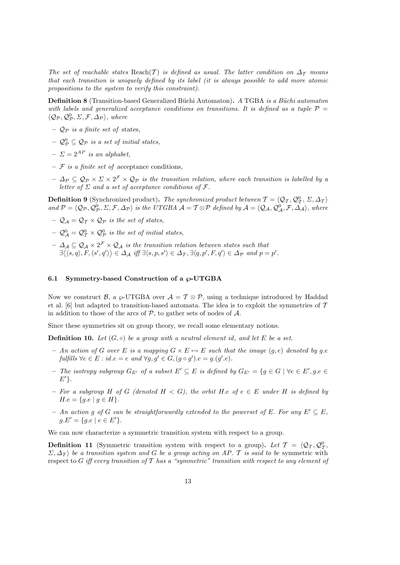The set of reachable states Reach(T) is defined as usual. The latter condition on  $\Delta_{\mathcal{T}}$  means that each transition is uniquely defined by its label (it is always possible to add more atomic propositions to the system to verify this constraint).

**Definition 8** (Transition-based Generalized Büchi Automaton). A TGBA is a Büchi automaton with labels and generalized acceptance conditions on transitions. It is defined as a tuple  $\mathcal{P} =$  $\langle \mathcal{Q}_{\mathcal{P}}, \mathcal{Q}_{\mathcal{P}}^0, \Sigma, \mathcal{F}, \Delta_{\mathcal{P}} \rangle$ , where

- $\mathcal{Q}_P$  is a finite set of states,
- $\mathcal{Q}_{\mathcal{P}}^{0} \subseteq \mathcal{Q}_{\mathcal{P}}$  is a set of initial states,
- $-\Sigma = 2^{AP}$  is an alphabet,
- $-$  F is a finite set of acceptance conditions,
- $\Delta_p \subseteq \mathcal{Q}_p \times \Sigma \times 2^{\mathcal{F}} \times \mathcal{Q}_p$  is the transition relation, where each transition is labelled by a letter of  $\Sigma$  and a set of acceptance conditions of  $\mathcal F$ .

**Definition 9** (Synchronized product). The synchronized product between  $\mathcal{T} = \langle \mathcal{Q}_T, \mathcal{Q}_T^0, \Sigma, \Delta_T \rangle$ and  $\mathcal{P} = \langle \mathcal{Q}_{\mathcal{P}}, \mathcal{Q}_{\mathcal{P}}^0, \Sigma, \mathcal{F}, \Delta_{\mathcal{P}} \rangle$  is the UTGBA  $\mathcal{A} = \mathcal{T} \otimes \mathcal{P}$  defined by  $\mathcal{A} = \langle \mathcal{Q}_{\mathcal{A}}, \mathcal{Q}_{\mathcal{A}}^0, \mathcal{F}, \Delta_{\mathcal{A}} \rangle$ , where

- $\mathcal{Q}_A = \mathcal{Q}_T \times \mathcal{Q}_P$  is the set of states,
- $-\mathcal{Q}_{\mathcal{A}}^{0}=\mathcal{Q}_{\mathcal{T}}^{0}\times\mathcal{Q}_{\mathcal{P}}^{0}$  is the set of initial states,
- $\Delta_{\cal A}\subseteq {\cal Q}_{\cal A}\times 2^{{\cal F}}\times {\cal Q}_{\cal A}$  is the transition relation between states such that  $\exists \langle \langle s, q \rangle, F, \langle s', q' \rangle \rangle \in \Delta_{\mathcal{A}} \text{ iff } \exists \langle s, p, s' \rangle \in \Delta_{\mathcal{T}}, \exists \langle q, p', F, q' \rangle \in \Delta_{\mathcal{P}} \text{ and } p = p'.$

#### 6.1 Symmetry-based Construction of a  $\varphi$ -UTGBA

Now we construct B, a  $\wp$ -UTGBA over  $\mathcal{A} = \mathcal{T} \otimes \mathcal{P}$ , using a technique introduced by Haddad et al. [6] but adapted to transition-based automata. The idea is to exploit the symmetries of  $\mathcal T$ in addition to those of the arcs of  $P$ , to gather sets of nodes of  $A$ .

Since these symmetries sit on group theory, we recall some elementary notions.

**Definition 10.** Let  $(G, \circ)$  be a group with a neutral element id, and let E be a set.

- An action of G over E is a mapping  $G \times E \mapsto E$  such that the image  $(q, e)$  denoted by g.e.  $\text{fulfills } \forall e \in E : id.e = e \text{ and } \forall g, g' \in G, (g \circ g') . e = g.(g'.e).$
- $-$  The isotropy subgroup  $G_{E'}$  of a subset  $E' \subseteq E$  is defined by  $G_{E'} = \{g \in G \mid \forall e \in E', g.e \in E\}$  $E^{\prime}$ .
- For a subgroup H of G (denoted  $H < G$ ), the orbit H.e of  $e \in E$  under H is defined by  $H.e = \{g.e \mid g \in H\}.$
- An action g of G can be straightforwardly extended to the powerset of E. For any  $E' \subseteq E$ ,  $q.E' = \{q.e \mid e \in E'\}.$

We can now characterize a symmetric transition system with respect to a group.

**Definition 11** (Symmetric transition system with respect to a group). Let  $\mathcal{T} = \langle \mathcal{Q}_T, \mathcal{Q}_T^0, \mathcal{Q}_T^0, \mathcal{Q}_T^0, \mathcal{Q}_T^0, \mathcal{Q}_T^0, \mathcal{Q}_T^0, \mathcal{Q}_T^0, \mathcal{Q}_T^0, \mathcal{Q}_T^0, \mathcal{Q}_T^0, \mathcal{Q}_T^0, \mathcal{Q}_T^0, \mathcal{Q}_T^0$  $\Sigma$ ,  $\Delta$ <sub>T</sub>) be a transition system and G be a group acting on AP. T is said to be symmetric with respect to G iff every transition of T has a "symmetric" transition with respect to any element of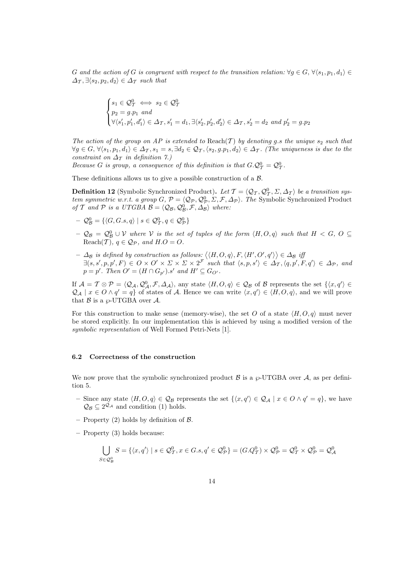G and the action of G is congruent with respect to the transition relation:  $\forall q \in G, \forall \langle s_1, p_1, d_1 \rangle \in$  $\Delta_{\mathcal{T}}$ ,  $\exists \langle s_2, p_2, d_2 \rangle \in \Delta_{\mathcal{T}}$  such that

$$
\begin{cases}\ns_1 \in \mathcal{Q}_T^0 \iff s_2 \in \mathcal{Q}_T^0 \\
p_2 = g.p_1 \text{ and} \\
\forall \langle s'_1, p'_1, d'_1 \rangle \in \Delta_T, s'_1 = d_1, \exists \langle s'_2, p'_2, d'_2 \rangle \in \Delta_T, s'_2 = d_2 \text{ and } p'_2 = g.p_2\n\end{cases}
$$

The action of the group on AP is extended to Reach(T) by denoting g.s the unique  $s_2$  such that  $\forall g \in G, \forall \langle s_1, p_1, d_1 \rangle \in \Delta_{\mathcal{T}}, s_1 = s, \exists d_2 \in \mathcal{Q}_{\mathcal{T}}, \langle s_2, g.p_1, d_2 \rangle \in \Delta_{\mathcal{T}}$ . (The uniqueness is due to the constraint on  $\Delta_{\mathcal{T}}$  in definition 7.)

Because G is group, a consequence of this definition is that  $G.Q^0_\mathcal{T} = Q^0_\mathcal{T}$ .

These definitions allows us to give a possible construction of a B.

**Definition 12** (Symbolic Synchronized Product). Let  $\mathcal{T} = \langle \mathcal{Q}_T, \mathcal{Q}_T^0, \Sigma, \Delta_T \rangle$  be a transition system symmetric w.r.t. a group  $G, \mathcal{P} = \langle \mathcal{Q}_{\mathcal{P}}, \mathcal{Q}_{\mathcal{P}}^0, \Sigma, \mathcal{F}, \Delta_{\mathcal{P}} \rangle$ . The Symbolic Synchronized Product of T and P is a UTGBA  $\mathcal{B} = \langle \mathcal{Q}_{\mathcal{B}}, \mathcal{Q}_{\mathcal{B}}^0, \mathcal{F}, \Delta_{\mathcal{B}} \rangle$  where:

- $\mathcal{Q}_{\mathcal{B}}^{0} = \{ \langle G, G. s, q \rangle \mid s \in \mathcal{Q}_{\mathcal{T}}^{0}, q \in \mathcal{Q}_{\mathcal{P}}^{0} \}$
- $-\mathcal{Q}_{\mathcal{B}} = \mathcal{Q}_{\mathcal{B}}^0 \cup \mathcal{V}$  where  $\mathcal V$  is the set of tuples of the form  $\langle H, O, q \rangle$  such that  $H \langle G, O \rangle \subseteq$ Reach $(\mathcal{T})$ ,  $q \in \mathcal{Q}_{\mathcal{P}}$ , and  $H.O=O$ .
- $\Delta_B$  is defined by construction as follows:  $\langle\langle H, O, q \rangle, F, \langle H', O', q' \rangle\rangle \in \Delta_B$  if  $\exists (s, s', p, p', F) \in O \times O' \times \Sigma \times \Sigma \times 2^{\mathcal{F}}$  such that  $\langle s, p, s' \rangle \in \Delta_{\mathcal{T}}, \langle q, p', F, q' \rangle \in \Delta_{\mathcal{P}},$  and  $p = p'$ . Then  $O' = (H \cap G_{p'})$ .s' and  $H' \subseteq G_{O'}$ .

If  $\mathcal{A} = \mathcal{T} \otimes \mathcal{P} = \langle \mathcal{Q}_{\mathcal{A}}, \mathcal{Q}_{\mathcal{A}}^0, \mathcal{F}, \Delta_{\mathcal{A}} \rangle$ , any state  $\langle H, O, q \rangle \in \mathcal{Q}_{\mathcal{B}}$  of  $\mathcal{B}$  represents the set  $\{ \langle x, q' \rangle \in \mathcal{A} \}$  $\mathcal{Q}_{\mathcal{A}} \mid x \in O \wedge q' = q$  of states of A. Hence we can write  $\langle x, q' \rangle \in \langle H, O, q \rangle$ , and we will prove that  $\beta$  is a  $\wp$ -UTGBA over A.

For this construction to make sense (memory-wise), the set O of a state  $\langle H, O, q \rangle$  must never be stored explicitly. In our implementation this is achieved by using a modified version of the symbolic representation of Well Formed Petri-Nets [1].

#### 6.2 Correctness of the construction

We now prove that the symbolic synchronized product  $\mathcal B$  is a  $\wp$ -UTGBA over  $\mathcal A$ , as per definition 5.

- Since any state  $\langle H, O, q \rangle \in \mathcal{Q}_B$  represents the set  $\{\langle x, q' \rangle \in \mathcal{Q}_A \mid x \in O \land q' = q\}$ , we have  $\mathcal{Q}_{\mathcal{B}} \subseteq 2^{\mathcal{Q}_{\mathcal{A}}}$  and condition (1) holds.
- Property  $(2)$  holds by definition of  $\beta$ .
- Property (3) holds because:

$$
\bigcup_{S \in \mathcal{Q}_{\mathcal{B}}^0} S = \{ \langle x, q' \rangle \mid s \in \mathcal{Q}_{\mathcal{T}}^0, x \in G.s, q' \in \mathcal{Q}_{\mathcal{P}}^0 \} = (G.Q_{\mathcal{T}}^0) \times \mathcal{Q}_{\mathcal{P}}^0 = \mathcal{Q}_{\mathcal{T}}^0 \times \mathcal{Q}_{\mathcal{P}}^0 = \mathcal{Q}_{\mathcal{A}}^0
$$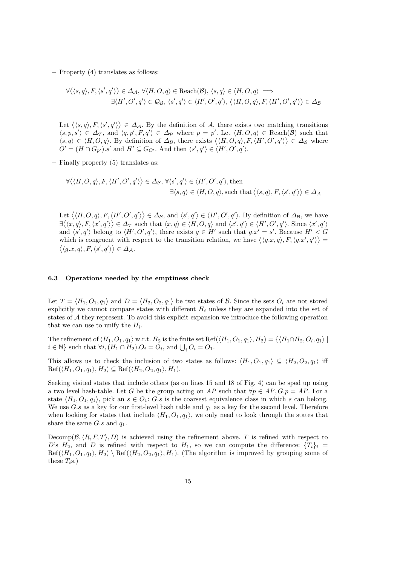– Property (4) translates as follows:

$$
\forall \langle \langle s, q \rangle, F, \langle s', q' \rangle \rangle \in \Delta_{\mathcal{A}}, \forall \langle H, O, q \rangle \in \text{Reach}(\mathcal{B}), \langle s, q \rangle \in \langle H, O, q \rangle \implies \exists \langle H', O', q' \rangle \in \mathcal{Q}_{\mathcal{B}}, \langle s', q' \rangle \in \langle H', O', q' \rangle, \langle \langle H, O, q \rangle, F, \langle H', O', q' \rangle \rangle \in \Delta_{\mathcal{B}}
$$

Let  $\langle \langle s, q \rangle, F, \langle s', q' \rangle \rangle \in \Delta_{\mathcal{A}}$ . By the definition of A, there exists two matching transitions  $\langle s, p, s' \rangle \in \Delta_{\mathcal{T}}$ , and  $\langle q, p', F, q' \rangle \in \Delta_{\mathcal{P}}$  where  $p = p'$ . Let  $\langle H, O, q \rangle \in \text{Reach}(\mathcal{B})$  such that  $\langle s, q \rangle \in \langle H, O, q \rangle$ . By definition of  $\Delta_{\mathcal{B}}$ , there exists  $\langle \langle H, O, q \rangle, F, \langle H', O', q' \rangle \rangle \in \Delta_{\mathcal{B}}$  where  $O' = (H \cap G_{p'})$ .s' and  $H' \subseteq G_{O'}$ . And then  $\langle s', q' \rangle \in \langle H', O', q' \rangle$ .

– Finally property (5) translates as:

$$
\forall \langle \langle H, O, q \rangle, F, \langle H', O', q' \rangle \rangle \in \Delta_{\mathcal{B}}, \forall \langle s', q' \rangle \in \langle H', O', q' \rangle, \text{ then}
$$
  

$$
\exists \langle s, q \rangle \in \langle H, O, q \rangle, \text{ such that } \langle \langle s, q \rangle, F, \langle s', q' \rangle \rangle \in \Delta_{\mathcal{A}}
$$

Let  $\langle \langle H, O, q \rangle, F, \langle H', O', q' \rangle \rangle \in \Delta_{\mathcal{B}}$ , and  $\langle s', q' \rangle \in \langle H', O', q' \rangle$ . By definition of  $\Delta_{\mathcal{B}}$ , we have  $\exists \langle \langle x, q \rangle, F, \langle x', q' \rangle \rangle \in \Delta_{\mathcal{T}}$  such that  $\langle x, q \rangle \in \langle H, O, q \rangle$  and  $\langle x', q' \rangle \in \langle H', O', q' \rangle$ . Since  $\langle x', q' \rangle$ and  $\langle s', q' \rangle$  belong to  $\langle H', O', q' \rangle$ , there exists  $g \in H'$  such that  $g.x' = s'$ . Because  $H' < G$ which is congruent with respect to the transition relation, we have  $\langle \langle g.x, q \rangle, F, \langle g.x', q' \rangle \rangle =$  $\langle \langle g.x, q \rangle, F, \langle s', q' \rangle \rangle \in \Delta_{\mathcal{A}}.$ 

#### 6.3 Operations needed by the emptiness check

Let  $T = \langle H_1, O_1, q_1 \rangle$  and  $D = \langle H_2, O_2, q_1 \rangle$  be two states of B. Since the sets  $O_i$  are not stored explicitly we cannot compare states with different  $H_i$  unless they are expanded into the set of states of A they represent. To avoid this explicit expansion we introduce the following operation that we can use to unify the  $H_i$ .

The refinement of  $\langle H_1, O_1, q_1 \rangle$  w.r.t.  $H_2$  is the finite set Ref $(\langle H_1, O_1, q_1 \rangle, H_2) = \{\langle H_1 \cap H_2, O_i, q_1 \rangle \mid$  $i \in \mathbb{N}$  such that  $\forall i, (H_1 \cap H_2) \cdot O_i = O_i$ , and  $\bigcup_i O_i = O_1$ .

This allows us to check the inclusion of two states as follows:  $\langle H_1, O_1, q_1 \rangle \subseteq \langle H_2, O_2, q_1 \rangle$  iff  $\text{Ref}(\langle H_1, O_1, q_1 \rangle, H_2) \subseteq \text{Ref}(\langle H_2, O_2, q_1 \rangle, H_1).$ 

Seeking visited states that include others (as on lines 15 and 18 of Fig. 4) can be sped up using a two level hash-table. Let G be the group acting on AP such that  $\forall p \in AP, G.p = AP$ . For a state  $\langle H_1, O_1, q_1 \rangle$ , pick an  $s \in O_1$ : G.s is the coarsest equivalence class in which s can belong. We use G.s as a key for our first-level hash table and  $q_1$  as a key for the second level. Therefore when looking for states that include  $\langle H_1, O_1, q_1 \rangle$ , we only need to look through the states that share the same  $G.s$  and  $q_1$ .

Decomp( $\mathcal{B}, \langle R, F, T \rangle, D$ ) is achieved using the refinement above. T is refined with respect to D's  $H_2$ , and D is refined with respect to  $H_1$ , so we can compute the difference:  ${T_i}_i$  $\text{Ref}(\langle H_1, O_1, q_1 \rangle, H_2) \setminus \text{Ref}(\langle H_2, O_2, q_1 \rangle, H_1).$  (The algorithm is improved by grouping some of these  $T_i$ s.)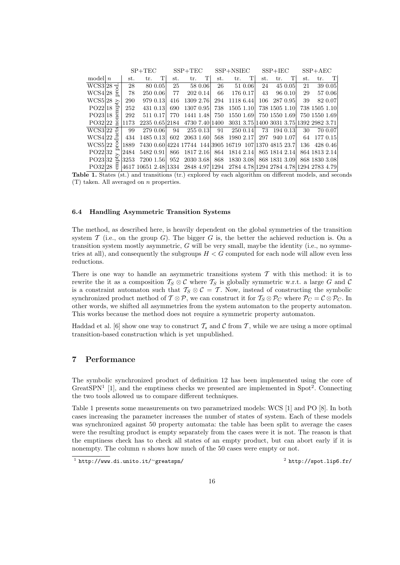|                           |     |      | $SP+TEC$  |          | $SSP+TEC$ |                                                                             |          | $SSP + NSIEC$ |               |          | $SSP + IEC$ |               |          | $SSP+AEC$ |               |          |
|---------------------------|-----|------|-----------|----------|-----------|-----------------------------------------------------------------------------|----------|---------------|---------------|----------|-------------|---------------|----------|-----------|---------------|----------|
| model $n$                 |     | st.  | tr.       | TI       | st.       | tr.                                                                         | T        | st.           | tr.           | T        | st.         | tr.           | T        | st.       | tr.           | T        |
| $WCS3 28 \doteq$          |     | 28   |           | 80 0.05  | 25        |                                                                             | 58 0.06  | 26            |               | 51 0.06  | 24          |               | 45 0.05  | 21        |               | 39 0.05  |
| WCS4 28                   | Ã   | 78   |           | 250 0.06 | 77        |                                                                             | 202 0.14 | 66            |               | 176 0.17 | 43          |               | 96 0.10  | 29        |               | 57 0.06  |
| WCS5 28 $\geq$            |     | 290  |           | 979 0.13 | 416       | 1309 2.76                                                                   |          | 294           | 1118 6.44     |          | 106         |               | 287 0.95 | 39        |               | 82 0.07  |
| $PO22 18$ 음               |     | 252  |           | 431 0.13 | 690       | 1307 0.95                                                                   |          | 738           | 1505 1.10     |          |             | 738 1505 1.10 |          |           | 738 1505 1.10 |          |
| PO2318                    | ତ୍ର | 292  |           | 511 0.17 | 770       | 1441 1.48                                                                   |          | 750           | 1550 1.69     |          |             | 750 1550 1.69 |          |           | 750 1550 1.69 |          |
| PO3222                    |     | 1173 |           |          |           | 2235 0.65 2184 4730 7.40 1400 3031 3.75 1400 3031 3.75 1392 2982 3.71       |          |               |               |          |             |               |          |           |               |          |
| WCS322                    |     | 99   |           | 279 0.06 | 94        |                                                                             | 255 0.13 | 91            |               | 250 0.14 |             | 73 194 0.13   |          | 30        |               | 70 0.07  |
| $WCS4 22 \nightharpoonup$ |     | 434  | 1485 0.13 |          |           | 602 2063 1.60                                                               |          |               | 568 1980 2.17 |          | 297         |               | 940 1.07 | 64        |               | 177 0.15 |
| WCS5 22                   |     | 1889 |           |          |           | 7430 0.60 4224 17744 144 3905 16719 107 1370 4815 23.7                      |          |               |               |          |             |               |          | 136       |               | 428 0.46 |
| PO22 32                   |     | 2484 | 5482 0.91 |          |           | 866 1817 2.16                                                               |          |               | 864 1814 2.14 |          |             | 865 1814 2.14 |          |           | 864 1813 2.14 |          |
| PQ23 325                  |     | 3253 | 7200 1.56 |          |           | 952 2030 3.68                                                               |          |               | 868 1830 3.08 |          |             | 868 1831 3.09 |          |           | 868 1830 3.08 |          |
| $PO32 28$ $\overline{5}$  |     |      |           |          |           | 4617 10651 2.48 1334 2848 4.97 1294 2784 4.78 1294 2784 4.78 1294 2783 4.79 |          |               |               |          |             |               |          |           |               |          |

Table 1. States (st.) and transitions (tr.) explored by each algorithm on different models, and seconds (T) taken. All averaged on n properties.

#### 6.4 Handling Asymmetric Transition Systems

The method, as described here, is heavily dependent on the global symmetries of the transition system  $\mathcal T$  (i.e., on the group  $G$ ). The bigger  $G$  is, the better the achieved reduction is. On a transition system mostly asymmetric,  $G$  will be very small, maybe the identity (i.e., no symmetries at all), and consequently the subgroups  $H < G$  computed for each node will allow even less reductions.

There is one way to handle an asymmetric transitions system  $\mathcal T$  with this method: it is to rewrite the it as a composition  $T_S \otimes C$  where  $T_S$  is globally symmetric w.r.t. a large G and C is a constraint automaton such that  $T_S \otimes C = T$ . Now, instead of constructing the symbolic synchronized product method of  $\mathcal{T} \otimes \mathcal{P}$ , we can construct it for  $\mathcal{T}_S \otimes \mathcal{P}_C$  where  $\mathcal{P}_C = \mathcal{C} \otimes \mathcal{P}_C$ . In other words, we shifted all asymmetries from the system automaton to the property automaton. This works because the method does not require a symmetric property automaton.

Haddad et al. [6] show one way to construct  $\mathcal{T}_s$  and  $\mathcal{C}$  from  $\mathcal{T}$ , while we are using a more optimal transition-based construction which is yet unpublished.

### 7 Performance

The symbolic synchronized product of definition 12 has been implemented using the core of GreatSPN<sup>1</sup> [1], and the emptiness checks we presented are implemented in Spot<sup>2</sup>. Connecting the two tools allowed us to compare different techniques.

Table 1 presents some measurements on two parametrized models: WCS [1] and PO [8]. In both cases increasing the parameter increases the number of states of system. Each of these models was synchronized against 50 property automata: the table has been split to average the cases were the resulting product is empty separately from the cases were it is not. The reason is that the emptiness check has to check all states of an empty product, but can abort early if it is nonempty. The column n shows how much of the 50 cases were empty or not.

 $^2$  http://spot.lip6.fr/

 $^1$  http://www.di.unito.it/∼greatspn/ 2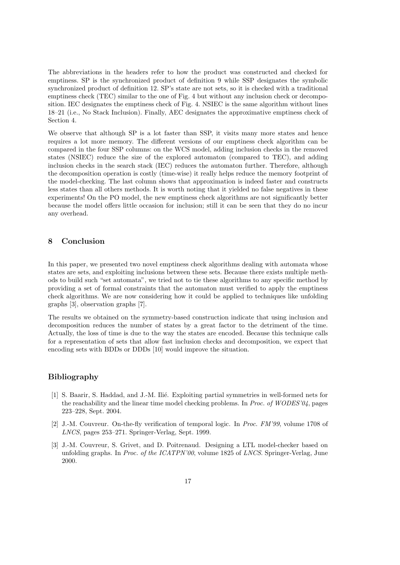The abbreviations in the headers refer to how the product was constructed and checked for emptiness. SP is the synchronized product of definition 9 while SSP designates the symbolic synchronized product of definition 12. SP's state are not sets, so it is checked with a traditional emptiness check (TEC) similar to the one of Fig. 4 but without any inclusion check or decomposition. IEC designates the emptiness check of Fig. 4. NSIEC is the same algorithm without lines 18–21 (i.e., No Stack Inclusion). Finally, AEC designates the approximative emptiness check of Section 4.

We observe that although SP is a lot faster than SSP, it visits many more states and hence requires a lot more memory. The different versions of our emptiness check algorithm can be compared in the four SSP columns: on the WCS model, adding inclusion checks in the removed states (NSIEC) reduce the size of the explored automaton (compared to TEC), and adding inclusion checks in the search stack (IEC) reduces the automaton further. Therefore, although the decomposition operation is costly (time-wise) it really helps reduce the memory footprint of the model-checking. The last column shows that approximation is indeed faster and constructs less states than all others methods. It is worth noting that it yielded no false negatives in these experiments! On the PO model, the new emptiness check algorithms are not significantly better because the model offers little occasion for inclusion; still it can be seen that they do no incur any overhead.

# 8 Conclusion

In this paper, we presented two novel emptiness check algorithms dealing with automata whose states are sets, and exploiting inclusions between these sets. Because there exists multiple methods to build such "set automata", we tried not to tie these algorithms to any specific method by providing a set of formal constraints that the automaton must verified to apply the emptiness check algorithms. We are now considering how it could be applied to techniques like unfolding graphs [3], observation graphs [7].

The results we obtained on the symmetry-based construction indicate that using inclusion and decomposition reduces the number of states by a great factor to the detriment of the time. Actually, the loss of time is due to the way the states are encoded. Because this technique calls for a representation of sets that allow fast inclusion checks and decomposition, we expect that encoding sets with BDDs or DDDs [10] would improve the situation.

## Bibliography

- [1] S. Baarir, S. Haddad, and J.-M. Ilié. Exploiting partial symmetries in well-formed nets for the reachability and the linear time model checking problems. In Proc. of WODES'04, pages 223–228, Sept. 2004.
- [2] J.-M. Couvreur. On-the-fly verification of temporal logic. In Proc. FM'99, volume 1708 of LNCS, pages 253–271. Springer-Verlag, Sept. 1999.
- [3] J.-M. Couvreur, S. Grivet, and D. Poitrenaud. Designing a LTL model-checker based on unfolding graphs. In *Proc. of the ICATPN'00*, volume 1825 of *LNCS*. Springer-Verlag, June 2000.